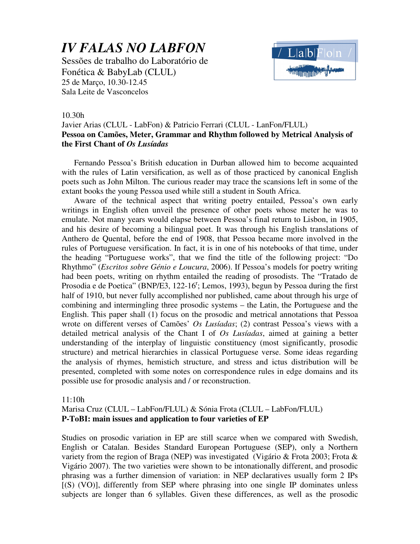# *IV FALAS NO LABFON*

Sessões de trabalho do Laboratório de Fonética & BabyLab (CLUL) 25 de Março, 10.30-12.45 Sala Leite de Vasconcelos



#### 10.30h

## Javier Arias (CLUL - LabFon) & Patricio Ferrari (CLUL - LanFon/FLUL) **Pessoa on Camões, Meter, Grammar and Rhythm followed by Metrical Analysis of the First Chant of** *Os Lusíadas*

Fernando Pessoa's British education in Durban allowed him to become acquainted with the rules of Latin versification, as well as of those practiced by canonical English poets such as John Milton. The curious reader may trace the scansions left in some of the extant books the young Pessoa used while still a student in South Africa.

Aware of the technical aspect that writing poetry entailed, Pessoa's own early writings in English often unveil the presence of other poets whose meter he was to emulate. Not many years would elapse between Pessoa's final return to Lisbon, in 1905, and his desire of becoming a bilingual poet. It was through his English translations of Anthero de Quental, before the end of 1908, that Pessoa became more involved in the rules of Portuguese versification. In fact, it is in one of his notebooks of that time, under the heading "Portuguese works", that we find the title of the following project: "Do Rhythmo" (*Escritos sobre Génio e Loucura*, 2006). If Pessoa's models for poetry writing had been poets, writing on rhythm entailed the reading of prosodists. The "Tratado de Prosodia e de Poetica" (BNP/E3, 122-16<sup>r</sup>; Lemos, 1993), begun by Pessoa during the first half of 1910, but never fully accomplished nor published, came about through his urge of combining and intermingling three prosodic systems – the Latin, the Portuguese and the English. This paper shall (1) focus on the prosodic and metrical annotations that Pessoa wrote on different verses of Camões' *Os Lusíadas*; (2) contrast Pessoa's views with a detailed metrical analysis of the Chant I of *Os Lusíadas*, aimed at gaining a better understanding of the interplay of linguistic constituency (most significantly, prosodic structure) and metrical hierarchies in classical Portuguese verse. Some ideas regarding the analysis of rhymes, hemistich structure, and stress and ictus distribution will be presented, completed with some notes on correspondence rules in edge domains and its possible use for prosodic analysis and / or reconstruction.

#### 11:10h

### Marisa Cruz (CLUL – LabFon/FLUL) & Sónia Frota (CLUL – LabFon/FLUL) **P-ToBI: main issues and application to four varieties of EP**

Studies on prosodic variation in EP are still scarce when we compared with Swedish, English or Catalan. Besides Standard European Portuguese (SEP), only a Northern variety from the region of Braga (NEP) was investigated (Vigário & Frota 2003; Frota & Vigário 2007). The two varieties were shown to be intonationally different, and prosodic phrasing was a further dimension of variation: in NEP declaratives usually form 2 IPs [(S) (VO)], differently from SEP where phrasing into one single IP dominates unless subjects are longer than 6 syllables. Given these differences, as well as the prosodic